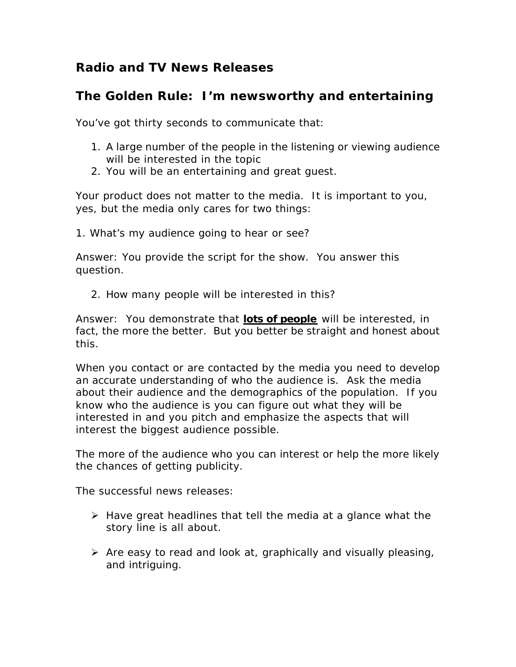# **Radio and TV News Releases**

# **The Golden Rule: I'm newsworthy and entertaining**

You've got thirty seconds to communicate that:

- 1. A large number of the people in the listening or viewing audience will be interested in the topic
- 2. You will be an entertaining and great guest.

Your product does not matter to the media. It is important to you, yes, but the media only cares for two things:

1. What's my audience going to hear or see?

Answer: You provide the script for the show. You answer this question.

2. How many people will be interested in this?

Answer: You demonstrate that *lots of people* will be interested, in fact, the more the better. But you better be straight and honest about this.

When you contact or are contacted by the media you need to develop an accurate understanding of who the audience is. Ask the media about their audience and the demographics of the population. If you know who the audience is you can figure out what they will be interested in and you pitch and emphasize the aspects that will interest the biggest audience possible.

The more of the audience who you can interest or help the more likely the chances of getting publicity.

The successful news releases:

- $\triangleright$  Have great headlines that tell the media at a glance what the story line is all about.
- $\triangleright$  Are easy to read and look at, graphically and visually pleasing, and intriguing.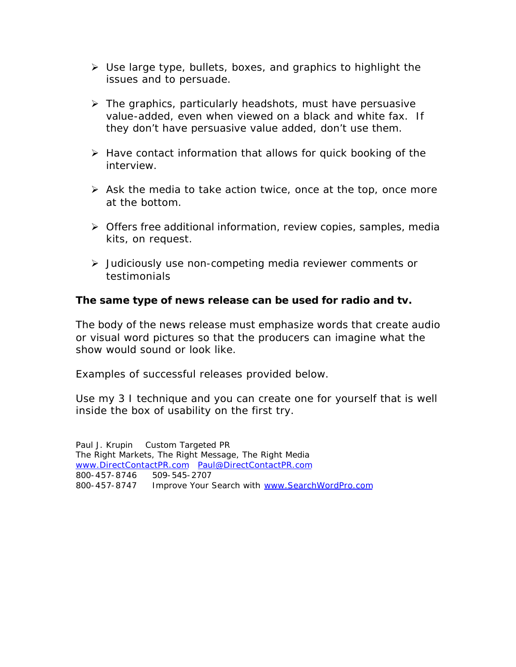- $\triangleright$  Use large type, bullets, boxes, and graphics to highlight the issues and to persuade.
- $\triangleright$  The graphics, particularly headshots, must have persuasive value-added, even when viewed on a black and white fax. If they don't have persuasive value added, don't use them.
- $\triangleright$  Have contact information that allows for quick booking of the interview.
- $\triangleright$  Ask the media to take action twice, once at the top, once more at the bottom.
- $\triangleright$  Offers free additional information, review copies, samples, media kits, on request.
- ÿ Judiciously use non-competing media reviewer comments or testimonials

### **The same type of news release can be used for radio and tv.**

The body of the news release must emphasize words that create audio or visual word pictures so that the producers can imagine what the show would sound or look like.

Examples of successful releases provided below.

Use my 3 I technique and you can create one for yourself that is well inside the box of usability on the first try.

Paul J. Krupin Custom Targeted PR The Right Markets, The Right Message, The Right Media www.DirectContactPR.com Paul@DirectContactPR.com 800-457-8746 509-545-2707 800-457-8747 Improve Your Search with www.SearchWordPro.com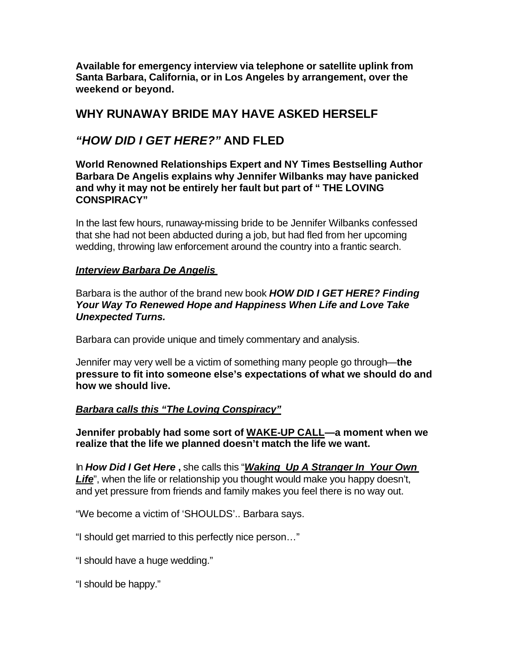**Available for emergency interview via telephone or satellite uplink from Santa Barbara, California, or in Los Angeles by arrangement, over the weekend or beyond.**

# **WHY RUNAWAY BRIDE MAY HAVE ASKED HERSELF**

# *"HOW DID I GET HERE?"* **AND FLED**

**World Renowned Relationships Expert and NY Times Bestselling Author Barbara De Angelis explains why Jennifer Wilbanks may have panicked and why it may not be entirely her fault but part of " THE LOVING CONSPIRACY"**

In the last few hours, runaway-missing bride to be Jennifer Wilbanks confessed that she had not been abducted during a job, but had fled from her upcoming wedding, throwing law enforcement around the country into a frantic search.

#### *Interview Barbara De Angelis*

Barbara is the author of the brand new book *HOW DID I GET HERE? Finding Your Way To Renewed Hope and Happiness When Life and Love Take Unexpected Turns.* 

Barbara can provide unique and timely commentary and analysis.

Jennifer may very well be a victim of something many people go through—**the pressure to fit into someone else's expectations of what we should do and how we should live.** 

### *Barbara calls this "The Loving Conspiracy"*

**Jennifer probably had some sort of WAKE-UP CALL—a moment when we realize that the life we planned doesn't match the life we want.** 

In *How Did I Get Here* **,** she calls this "*Waking Up A Stranger In Your Own*  Life", when the life or relationship you thought would make you happy doesn't, and yet pressure from friends and family makes you feel there is no way out.

"We become a victim of 'SHOULDS'.. Barbara says.

"I should get married to this perfectly nice person…"

"I should have a huge wedding."

"I should be happy."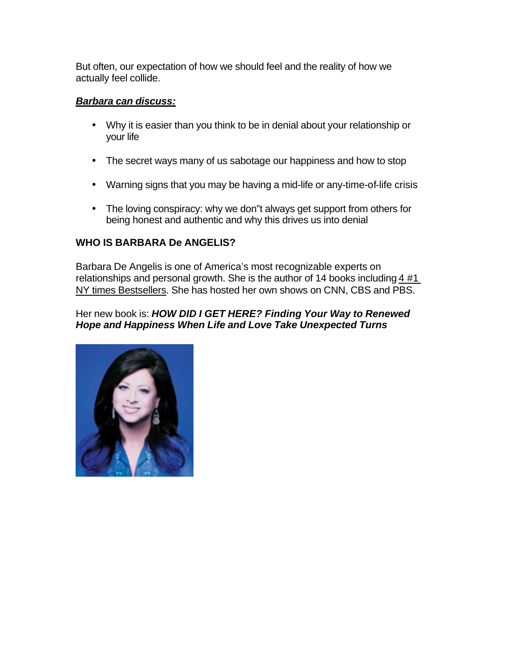But often, our expectation of how we should feel and the reality of how we actually feel collide.

#### *Barbara can discuss:*

- Why it is easier than you think to be in denial about your relationship or your life
- The secret ways many of us sabotage our happiness and how to stop
- Warning signs that you may be having a mid-life or any-time-of-life crisis
- The loving conspiracy: why we don"t always get support from others for being honest and authentic and why this drives us into denial

### **WHO IS BARBARA De ANGELIS?**

Barbara De Angelis is one of America's most recognizable experts on relationships and personal growth. She is the author of 14 books including 4 #1 NY times Bestsellers. She has hosted her own shows on CNN, CBS and PBS.

#### Her new book is: *HOW DID I GET HERE? Finding Your Way to Renewed Hope and Happiness When Life and Love Take Unexpected Turns*

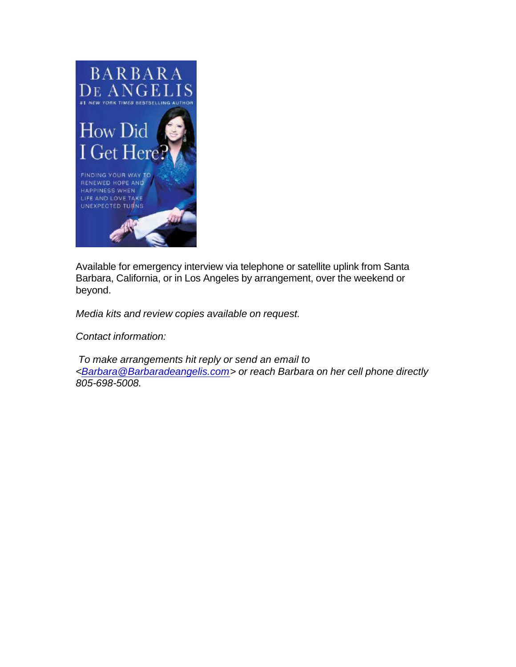

Available for emergency interview via telephone or satellite uplink from Santa Barbara, California, or in Los Angeles by arrangement, over the weekend or beyond.

*Media kits and review copies available on request.*

*Contact information:* 

 *To make arrangements hit reply or send an email to <Barbara@Barbaradeangelis.com> or reach Barbara on her cell phone directly 805-698-5008.*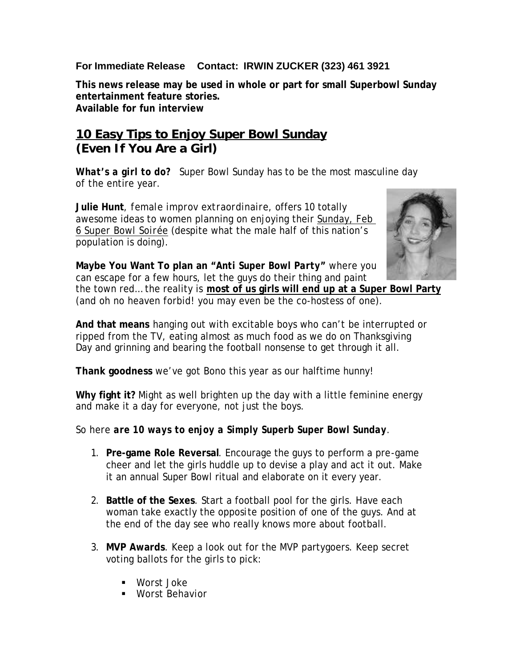## **For Immediate Release Contact: IRWIN ZUCKER (323) 461 3921**

**This news release may be used in whole or part for small Superbowl Sunday entertainment feature stories. Available for fun interview** 

# *10 Easy Tips to Enjoy Super Bowl Sunday* **(Even If You Are a Girl)**

**What's a girl to do?** Super Bowl Sunday has to be the most masculine day of the entire year.

**Julie Hunt**, *female improv extraordinaire*, offers 10 totally awesome ideas to women planning on enjoying their *Sunday, Feb 6 Super Bowl Soirée* (despite what the male half of this nation's population is doing).



**Maybe You Want To plan an "***Anti Super Bowl Party***"** where you can escape for a few hours, let the guys do their thing and paint the town red… the reality is **most of us girls will end up at a Super Bowl Party** (and oh no heaven forbid! you may even be the co-hostess of one).

**And that means** hanging out with excitable boys who can't be interrupted or ripped from the TV, eating almost as much food as we do on Thanksgiving Day and grinning and bearing the football nonsense to get through it all.

**Thank goodness** we've got Bono this year as our halftime hunny!

**Why fight it?** Might as well brighten up the day with a little feminine energy and make it a day for everyone, not just the boys.

### So here *are 10 ways to enjoy a Simply Superb Super Bowl Sunday*.

- 1. **Pre-game Role Reversal**. Encourage the guys to perform a pre-game cheer and let the girls huddle up to devise a play and act it out. Make it an annual Super Bowl ritual and elaborate on it every year.
- 2. **Battle of the Sexes**. Start a football pool for the girls. Have each woman take exactly the opposite position of one of the guys. And at the end of the day see who really knows more about football.
- 3. **MVP Awards**. Keep a look out for the MVP partygoers. Keep secret voting ballots for the girls to pick:
	- ß Worst Joke
	- Worst Behavior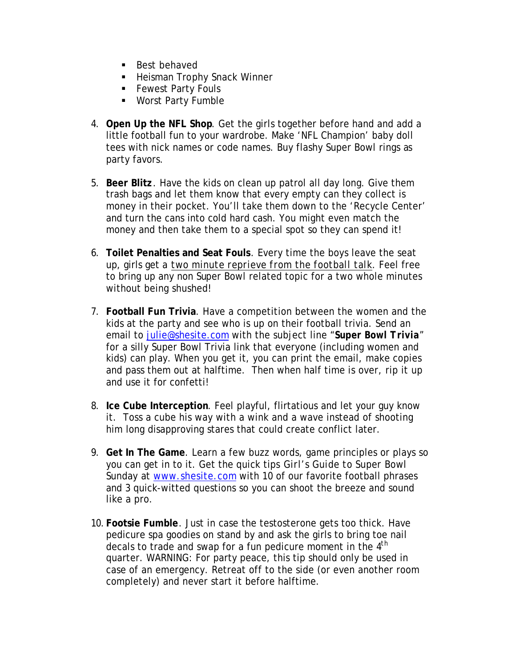- **Best behaved**
- **EXEC** Heisman Trophy Snack Winner
- **Fewest Party Fouls**
- **Worst Party Fumble**
- 4. **Open Up the NFL Shop**. Get the girls together before hand and add a little football fun to your wardrobe. Make 'NFL Champion' baby doll tees with nick names or code names. Buy flashy Super Bowl rings as party favors.
- 5. **Beer Blitz**. Have the kids on clean up patrol all day long. Give them trash bags and let them know that every empty can they collect is money in their pocket. You'll take them down to the 'Recycle Center' and turn the cans into cold hard cash. You might even match the money and then take them to a special spot so they can spend it!
- 6. **Toilet Penalties and Seat Fouls**. Every time the boys leave the seat up, girls get a *two minute reprieve from the football talk*. Feel free to bring up any non Super Bowl related topic for a two whole minutes without being shushed!
- 7. **Football Fun Trivia**. Have a competition between the women and the kids at the party and see who is up on their football trivia. Send an email to julie@shesite.com with the subject line "*Super Bowl Trivia*" for a silly Super Bowl Trivia link that everyone (including women and kids) can play. When you get it, you can print the email, make copies and pass them out at halftime. Then when half time is over, rip it up and use it for confetti!
- 8. **Ice Cube Interception**. Feel playful, flirtatious and let your guy know it. Toss a cube his way with a wink and a wave instead of shooting him long disapproving stares that could create conflict later.
- 9. **Get In The Game**. Learn a few buzz words, game principles or plays so you can get in to it. Get the quick tips *Girl's Guide to Super Bowl Sunday* at www.shesite.com with 10 of our favorite football phrases and 3 quick-witted questions so you can shoot the breeze and sound like a pro.
- 10. **Footsie Fumble**. Just in case the testosterone gets too thick. Have pedicure spa goodies on stand by and ask the girls to bring toe nail decals to trade and swap for a fun pedicure moment in the 4<sup>th</sup> quarter. WARNING: For party peace, this tip should only be used in case of an emergency. Retreat off to the side (or even another room completely) and never start it before halftime.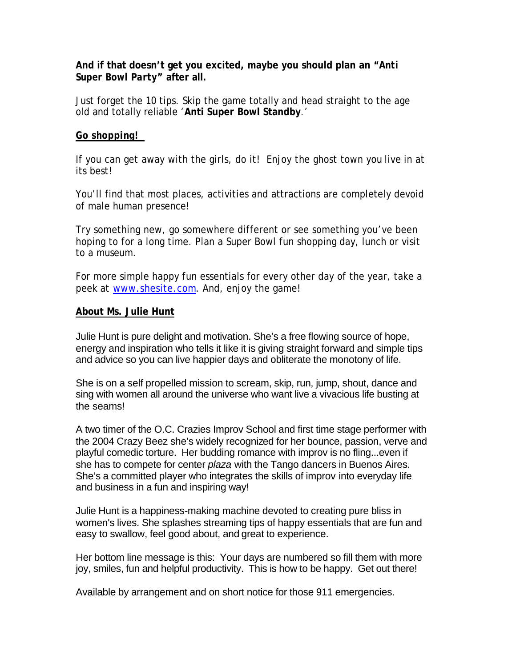#### **And if that doesn't get you excited, maybe you should plan an "***Anti Super Bowl Party***" after all.**

Just forget the 10 tips. Skip the game totally and head straight to the age old and totally reliable '**Anti Super Bowl Standby**.'

#### *Go shopping!*

If you can get away with the girls, do it! Enjoy the ghost town you live in at its best!

You'll find that most places, activities and attractions are completely devoid of male human presence!

Try something new, go somewhere different or see something you've been hoping to for a long time. Plan a Super Bowl fun shopping day, lunch or visit to a museum.

For more simple happy fun essentials for every other day of the year, take a peek at www.shesite.com. And, enjoy the game!

#### **About Ms. Julie Hunt**

Julie Hunt is pure delight and motivation. She's a free flowing source of hope, energy and inspiration who tells it like it is giving straight forward and simple tips and advice so you can live happier days and obliterate the monotony of life.

She is on a self propelled mission to scream, skip, run, jump, shout, dance and sing with women all around the universe who want live a vivacious life busting at the seams!

A two timer of the O.C. Crazies Improv School and first time stage performer with the 2004 Crazy Beez she's widely recognized for her bounce, passion, verve and playful comedic torture. Her budding romance with improv is no fling...even if she has to compete for center *plaza* with the Tango dancers in Buenos Aires. She's a committed player who integrates the skills of improv into everyday life and business in a fun and inspiring way!

Julie Hunt is a happiness-making machine devoted to creating pure bliss in women's lives. She splashes streaming tips of happy essentials that are fun and easy to swallow, feel good about, and great to experience.

Her bottom line message is this: Your days are numbered so fill them with more joy, smiles, fun and helpful productivity. This is how to be happy. Get out there!

Available by arrangement and on short notice for those 911 emergencies.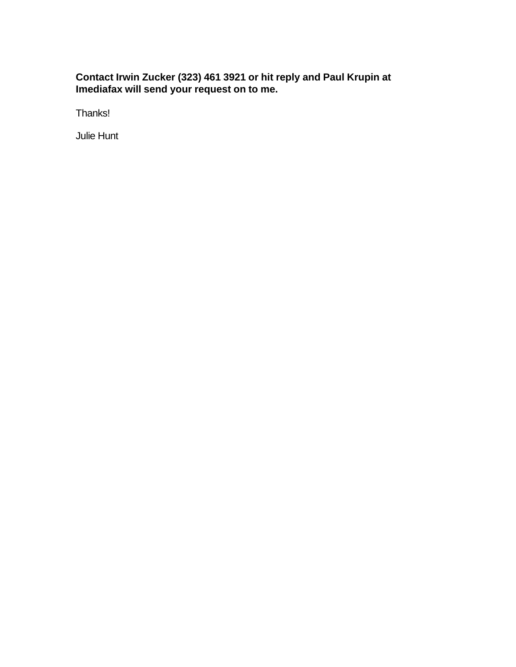#### **Contact Irwin Zucker (323) 461 3921 or hit reply and Paul Krupin at Imediafax will send your request on to me.**

Thanks!

Julie Hunt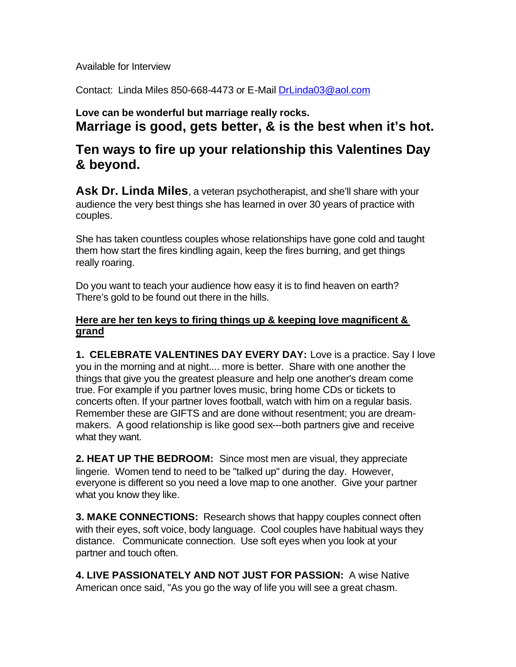Available for Interview

Contact: Linda Miles 850-668-4473 or E-Mail DrLinda03@aol.com

## **Love can be wonderful but marriage really rocks. Marriage is good, gets better, & is the best when it's hot.**

# **Ten ways to fire up your relationship this Valentines Day & beyond.**

**Ask Dr. Linda Miles**, a veteran psychotherapist, and she'll share with your audience the very best things she has learned in over 30 years of practice with couples.

She has taken countless couples whose relationships have gone cold and taught them how start the fires kindling again, keep the fires burning, and get things really roaring.

Do you want to teach your audience how easy it is to find heaven on earth? There's gold to be found out there in the hills.

### **Here are her ten keys to firing things up & keeping love magnificent & grand**

**1. CELEBRATE VALENTINES DAY EVERY DAY:** Love is a practice. Say I love you in the morning and at night.... more is better. Share with one another the things that give you the greatest pleasure and help one another's dream come true. For example if you partner loves music, bring home CDs or tickets to concerts often. If your partner loves football, watch with him on a regular basis. Remember these are GIFTS and are done without resentment; you are dreammakers. A good relationship is like good sex---both partners give and receive what they want.

**2. HEAT UP THE BEDROOM:** Since most men are visual, they appreciate lingerie. Women tend to need to be "talked up" during the day. However, everyone is different so you need a love map to one another. Give your partner what you know they like.

**3. MAKE CONNECTIONS:** Research shows that happy couples connect often with their eyes, soft voice, body language. Cool couples have habitual ways they distance. Communicate connection. Use soft eyes when you look at your partner and touch often.

**4. LIVE PASSIONATELY AND NOT JUST FOR PASSION:** A wise Native American once said, "As you go the way of life you will see a great chasm.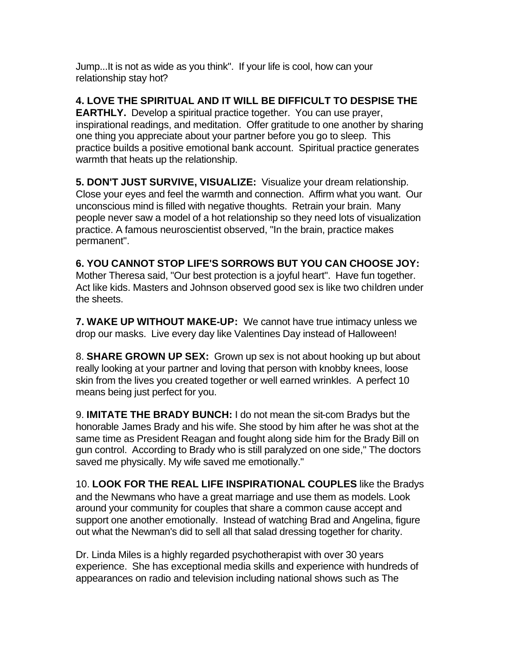Jump...It is not as wide as you think". If your life is cool, how can your relationship stay hot?

**4. LOVE THE SPIRITUAL AND IT WILL BE DIFFICULT TO DESPISE THE EARTHLY.** Develop a spiritual practice together. You can use prayer, inspirational readings, and meditation. Offer gratitude to one another by sharing one thing you appreciate about your partner before you go to sleep. This practice builds a positive emotional bank account. Spiritual practice generates warmth that heats up the relationship.

**5. DON'T JUST SURVIVE, VISUALIZE:** Visualize your dream relationship. Close your eyes and feel the warmth and connection. Affirm what you want. Our unconscious mind is filled with negative thoughts. Retrain your brain. Many people never saw a model of a hot relationship so they need lots of visualization practice. A famous neuroscientist observed, "In the brain, practice makes permanent".

**6. YOU CANNOT STOP LIFE'S SORROWS BUT YOU CAN CHOOSE JOY:** Mother Theresa said, "Our best protection is a joyful heart". Have fun together. Act like kids. Masters and Johnson observed good sex is like two children under the sheets.

**7. WAKE UP WITHOUT MAKE-UP:** We cannot have true intimacy unless we drop our masks. Live every day like Valentines Day instead of Halloween!

8. **SHARE GROWN UP SEX:** Grown up sex is not about hooking up but about really looking at your partner and loving that person with knobby knees, loose skin from the lives you created together or well earned wrinkles. A perfect 10 means being just perfect for you.

9. **IMITATE THE BRADY BUNCH:** I do not mean the sit-com Bradys but the honorable James Brady and his wife. She stood by him after he was shot at the same time as President Reagan and fought along side him for the Brady Bill on gun control. According to Brady who is still paralyzed on one side," The doctors saved me physically. My wife saved me emotionally."

10. **LOOK FOR THE REAL LIFE INSPIRATIONAL COUPLES** like the Bradys and the Newmans who have a great marriage and use them as models. Look around your community for couples that share a common cause accept and support one another emotionally. Instead of watching Brad and Angelina, figure out what the Newman's did to sell all that salad dressing together for charity.

Dr. Linda Miles is a highly regarded psychotherapist with over 30 years experience. She has exceptional media skills and experience with hundreds of appearances on radio and television including national shows such as The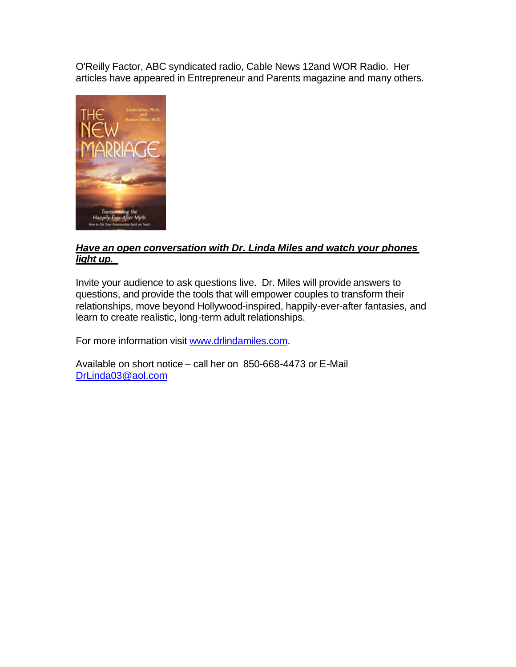O'Reilly Factor, ABC syndicated radio, Cable News 12and WOR Radio. Her articles have appeared in Entrepreneur and Parents magazine and many others.



#### *Have an open conversation with Dr. Linda Miles and watch your phones light up.*

Invite your audience to ask questions live. Dr. Miles will provide answers to questions, and provide the tools that will empower couples to transform their relationships, move beyond Hollywood-inspired, happily-ever-after fantasies, and learn to create realistic, long-term adult relationships.

For more information visit www.drlindamiles.com.

Available on short notice – call her on 850-668-4473 or E-Mail DrLinda03@aol.com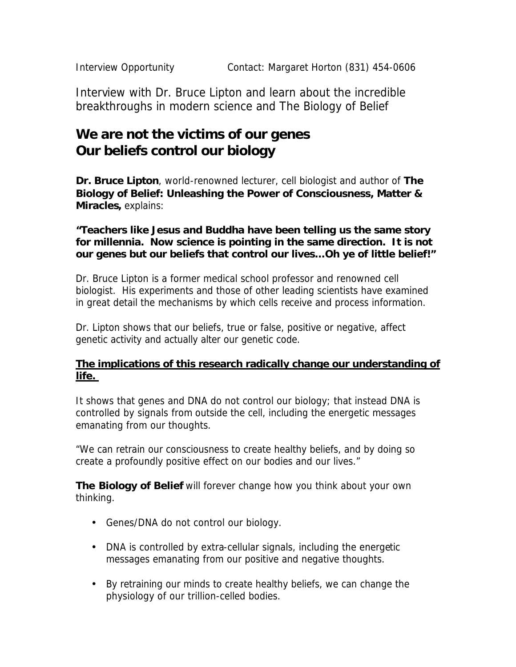Interview with Dr. Bruce Lipton and learn about the incredible breakthroughs in modern science and The Biology of Belief

# **We are not the victims of our genes Our beliefs control our biology**

**Dr. Bruce Lipton**, world-renowned lecturer, cell biologist and author of *The Biology of Belief: Unleashing the Power of Consciousness, Matter & Miracles***,** explains:

#### **"Teachers like Jesus and Buddha have been telling us the same story for millennia. Now science is pointing in the same direction.** *It is not our genes but our beliefs that control our lives…Oh ye of little belief!***"**

Dr. Bruce Lipton is a former medical school professor and renowned cell biologist. His experiments and those of other leading scientists have examined in great detail the mechanisms by which cells receive and process information.

Dr. Lipton shows that our beliefs, true or false, positive or negative, affect genetic activity and actually alter our genetic code.

## *The implications of this research radically change our understanding of life.*

It shows that genes and DNA do not control our biology; that instead DNA is controlled by signals from *outside* the cell, including the energetic messages emanating from our thoughts.

"We can retrain our consciousness to create healthy beliefs, and by doing so create a profoundly positive effect on our bodies and our lives."

**The Biology of Belief** will forever change how you think about your own thinking.

- Genes/DNA do not control our biology.
- DNA is controlled by extra-cellular signals, including the energetic messages emanating from our positive and negative thoughts.
- By retraining our minds to create healthy beliefs, we can change the physiology of our trillion-celled bodies.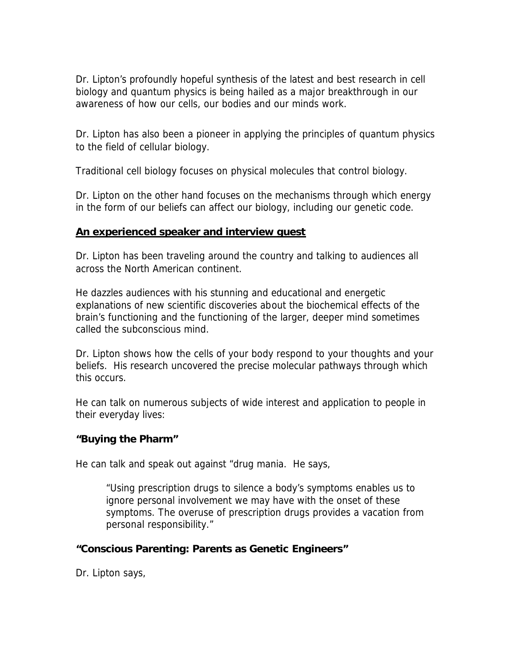Dr. Lipton's profoundly hopeful synthesis of the latest and best research in cell biology and quantum physics is being hailed as a major breakthrough in our awareness of how our cells, our bodies and our minds work.

Dr. Lipton has also been a pioneer in applying the principles of quantum physics to the field of cellular biology.

Traditional cell biology focuses on physical molecules that control biology.

Dr. Lipton on the other hand focuses on the mechanisms through which energy in the form of our beliefs can affect our biology, including our genetic code.

#### *An experienced speaker and interview guest*

Dr. Lipton has been traveling around the country and talking to audiences all across the North American continent.

He dazzles audiences with his stunning and educational and energetic explanations of new scientific discoveries about the biochemical effects of the brain's functioning and the functioning of the larger, deeper mind sometimes called the subconscious mind.

Dr. Lipton shows how the cells of your body respond to your thoughts and your beliefs. His research uncovered the precise molecular pathways through which this occurs.

He can talk on numerous subjects of wide interest and application to people in their everyday lives:

### **"Buying the Pharm"**

He can talk and speak out against "drug mania. He says,

*"Using prescription drugs to silence a body's symptoms enables us to ignore personal involvement we may have with the onset of these symptoms. The overuse of prescription drugs provides a vacation from personal responsibility."*

### **"Conscious Parenting: Parents as Genetic Engineers"**

Dr. Lipton says,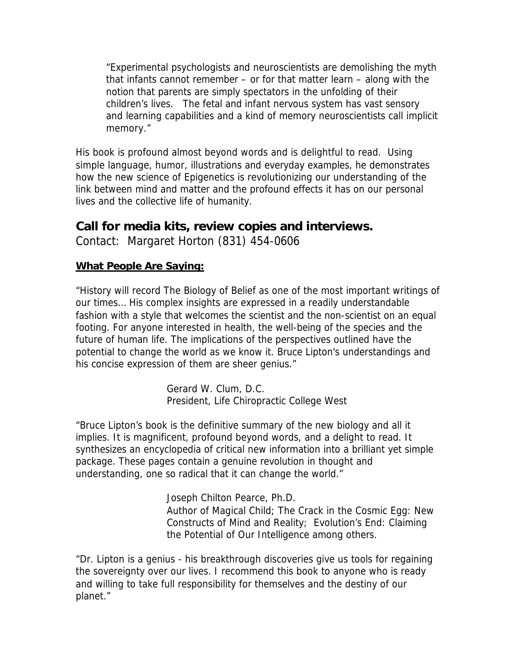*"Experimental psychologists and neuroscientists are demolishing the myth that infants cannot remember – or for that matter learn – along with the notion that parents are simply spectators in the unfolding of their children's lives. The fetal and infant nervous system has vast sensory and learning capabilities and a kind of memory neuroscientists call implicit memory."*

His book is profound almost beyond words and is delightful to read. Using simple language, humor, illustrations and everyday examples, he demonstrates how the new science of Epigenetics is revolutionizing our understanding of the link between mind and matter and the profound effects it has on our personal lives and the collective life of humanity.

## **Call for media kits, review copies and interviews.**

Contact: Margaret Horton (831) 454-0606

## *What People Are Saying:*

"History will record The Biology of Belief as one of the most important writings of our times… His complex insights are expressed in a readily understandable fashion with a style that welcomes the scientist and the non-scientist on an equal footing. For anyone interested in health, the well-being of the species and the future of human life. The implications of the perspectives outlined have the potential to change the world as we know it. Bruce Lipton's understandings and his concise expression of them are sheer genius."

> Gerard W. Clum, D.C. President, Life Chiropractic College West

"Bruce Lipton's book is the definitive summary of the new biology and all it implies. It is magnificent, profound beyond words, and a delight to read. It synthesizes an encyclopedia of critical new information into a brilliant yet simple package. These pages contain a genuine revolution in thought and understanding, one so radical that it can change the world."

> Joseph Chilton Pearce, Ph.D. Author of Magical Child; The Crack in the Cosmic Egg: New Constructs of Mind and Reality; Evolution's End: Claiming the Potential of Our Intelligence among others.

"Dr. Lipton is a genius - his breakthrough discoveries give us tools for regaining the sovereignty over our lives. I recommend this book to anyone who is ready and willing to take full responsibility for themselves and the destiny of our planet."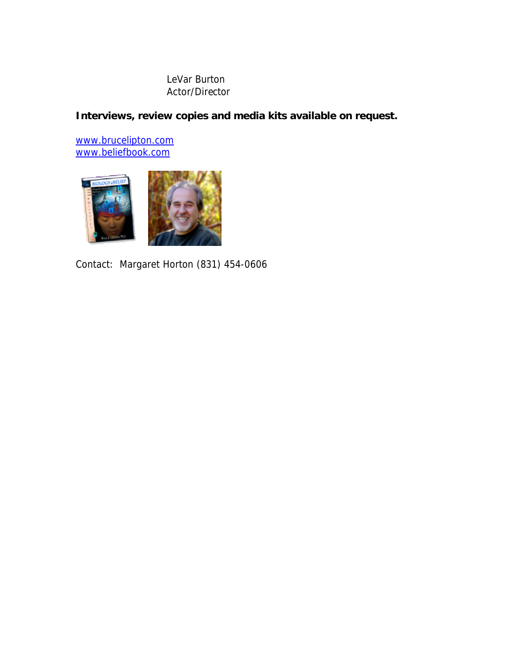#### LeVar Burton Actor/Director

**Interviews, review copies and media kits available on request.** 

www.brucelipton.com www.beliefbook.com



*Contact: Margaret Horton (831) 454-0606*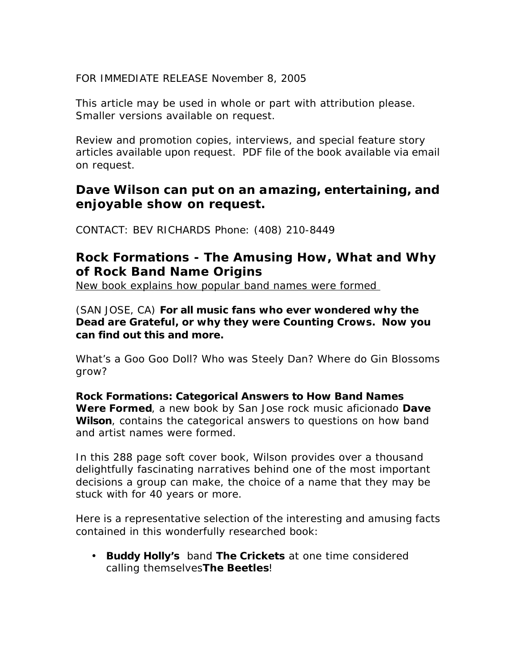FOR IMMEDIATE RELEASE November 8, 2005

This article may be used in whole or part with attribution please. Smaller versions available on request.

Review and promotion copies, interviews, and special feature story articles available upon request. PDF file of the book available via email on request.

## **Dave Wilson can put on an amazing, entertaining, and enjoyable show on request.**

CONTACT: BEV RICHARDS Phone: (408) 210-8449

# **Rock Formations - The Amusing How, What and Why of Rock Band Name Origins**

*New book explains how popular band names were formed* 

(SAN JOSE, CA) **For all music fans who ever wondered why the Dead are Grateful, or why they were Counting Crows. Now you can find out this and more.** 

*What's a Goo Goo Doll? Who was Steely Dan? Where do Gin Blossoms grow?*

*Rock Formations: Categorical Answers to How Band Names Were Formed*, a new book by San Jose rock music aficionado *Dave*  **Wilson**, contains the categorical answers to questions on how band and artist names were formed.

In this 288 page soft cover book, Wilson provides over a thousand delightfully fascinating narratives behind one of the most important decisions a group can make, the choice of a name that they may be stuck with for 40 years or more.

Here is a representative selection of the interesting and amusing facts contained in this wonderfully researched book:

• *Buddy Holly's* band *The Crickets* at one time considered calling themselves*The Beetles*!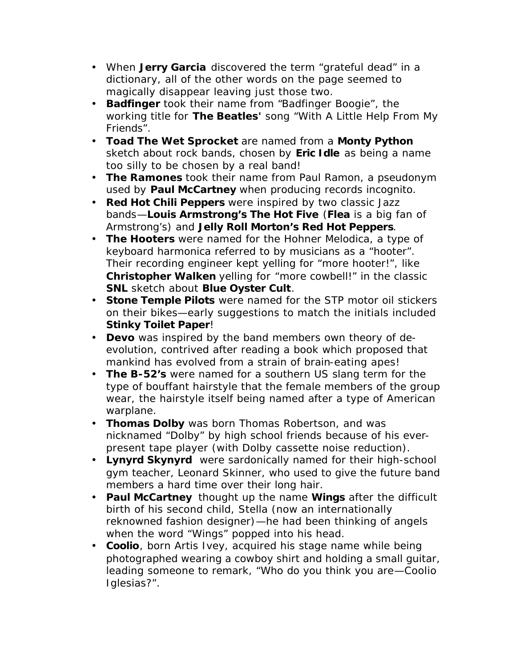- When *Jerry Garcia* discovered the term "grateful dead" in a dictionary, all of the other words on the page seemed to magically disappear leaving just those two.
- *Badfinger* took their name from "*Badfinger Boogie*", the working title for *The Beatles'* song "With A Little Help From My Friends".
- *Toad The Wet Sprocket* are named from a *Monty Python* sketch about rock bands, chosen by *Eric Idle* as being a name too silly to be chosen by a real band!
- *The Ramones* took their name from Paul Ramon, a pseudonym used by *Paul McCartney* when producing records incognito.
- *Red Hot Chili Peppers* were inspired by two classic Jazz bands—*Louis Armstrong's The Hot Five* (*Flea* is a big fan of Armstrong's) and *Jelly Roll Morton's Red Hot Peppers*.
- *The Hooters* were named for the Hohner Melodica, a type of keyboard harmonica referred to by musicians as a "hooter". Their recording engineer kept yelling for "more hooter!", like *Christopher Walken* yelling for "more cowbell!" in the classic *SNL* sketch about *Blue Oyster Cult*.
- *Stone Temple Pilots* were named for the STP motor oil stickers on their bikes—early suggestions to match the initials included *Stinky Toilet Paper*!
- *Devo* was inspired by the band members own theory of deevolution, contrived after reading a book which proposed that mankind has evolved from a strain of brain-eating apes!
- *The B-52's* were named for a southern US slang term for the type of bouffant hairstyle that the female members of the group wear, the hairstyle itself being named after a type of American warplane.
- *Thomas Dolby* was born Thomas Robertson, and was nicknamed "Dolby" by high school friends because of his everpresent tape player (with Dolby cassette noise reduction).
- *Lynyrd Skynyrd* were sardonically named for their high-school gym teacher, Leonard Skinner, who used to give the future band members a hard time over their long hair.
- *Paul McCartney* thought up the name *Wings* after the difficult birth of his second child, Stella (now an internationally reknowned fashion designer)—he had been thinking of angels when the word "Wings" popped into his head.
- *Coolio*, born Artis Ivey, acquired his stage name while being photographed wearing a cowboy shirt and holding a small guitar, leading someone to remark, "Who do you think you are—Coolio Iglesias?".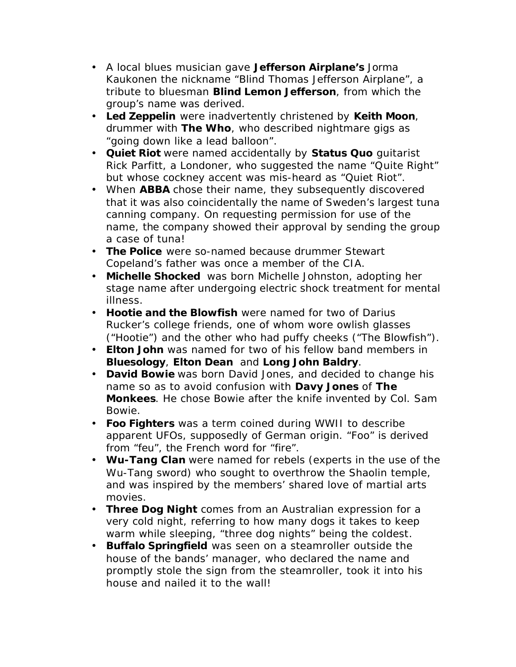- A local blues musician gave *Jefferson Airplane's* Jorma Kaukonen the nickname "Blind Thomas Jefferson Airplane", a tribute to bluesman *Blind Lemon Jefferson*, from which the group's name was derived.
- *Led Zeppelin* were inadvertently christened by *Keith Moon*, drummer with *The Who*, who described nightmare gigs as "going down like a lead balloon".
- *Quiet Riot* were named accidentally by *Status Quo* guitarist Rick Parfitt, a Londoner, who suggested the name "Quite Right" but whose cockney accent was mis-heard as "Quiet Riot".
- When *ABBA* chose their name, they subsequently discovered that it was also coincidentally the name of Sweden's largest tuna canning company. On requesting permission for use of the name, the company showed their approval by sending the group a case of tuna!
- *The Police* were so-named because drummer Stewart Copeland's father was once a member of the CIA.
- *Michelle Shocked* was born Michelle Johnston, adopting her stage name after undergoing electric shock treatment for mental illness.
- *Hootie and the Blowfish* were named for two of Darius Rucker's college friends, one of whom wore owlish glasses ("Hootie") and the other who had puffy cheeks ("The Blowfish").
- *Elton John* was named for two of his fellow band members in *Bluesology*, *Elton Dean* and *Long John Baldry*.
- *David Bowie* was born David Jones, and decided to change his name so as to avoid confusion with *Davy Jones* of *The Monkees*. He chose Bowie after the knife invented by Col. Sam Bowie.
- *Foo Fighters* was a term coined during WWII to describe apparent UFOs, supposedly of German origin. "Foo" is derived from "feu", the French word for "fire".
- *Wu-Tang Clan* were named for rebels (experts in the use of the Wu-Tang sword) who sought to overthrow the Shaolin temple, and was inspired by the members' shared love of martial arts movies.
- *Three Dog Night* comes from an Australian expression for a very cold night, referring to how many dogs it takes to keep warm while sleeping, "three dog nights" being the coldest.
- *Buffalo Springfield* was seen on a steamroller outside the house of the bands' manager, who declared the name and promptly stole the sign from the steamroller, took it into his house and nailed it to the wall!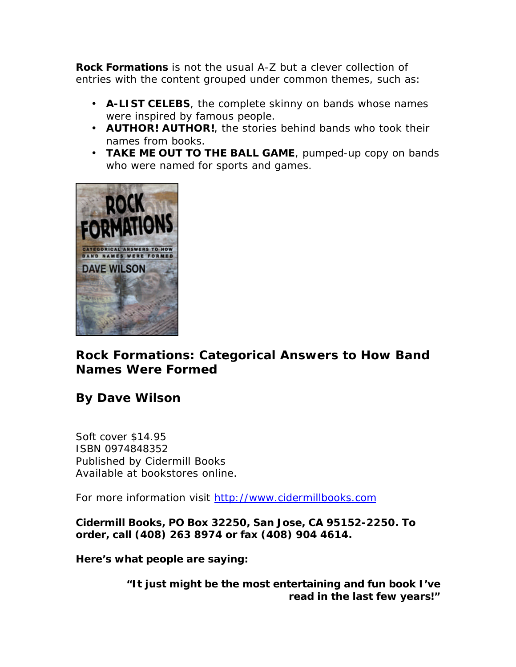**Rock Formations** is not the usual A-Z but a clever collection of entries with the content grouped under common themes, such as:

- **A-LIST CELEBS**, the complete skinny on bands whose names were inspired by famous people.
- **AUTHOR! AUTHOR!**, the stories behind bands who took their names from books.
- **TAKE ME OUT TO THE BALL GAME**, pumped-up copy on bands who were named for sports and games.



# *Rock Formations: Categorical Answers to How Band Names Were Formed*

# *By Dave Wilson*

Soft cover \$14.95 ISBN 0974848352 Published by Cidermill Books Available at bookstores online.

For more information visit http://www.cidermillbooks.com

**Cidermill Books, PO Box 32250, San Jose, CA 95152-2250. To order, call (408) 263 8974 or fax (408) 904 4614.**

**Here's what people are saying:** 

**"It just might be the most entertaining and fun book I've read in the last few years!"**